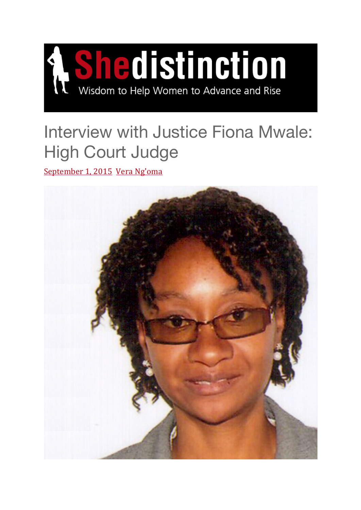

# Interview with Justice Fiona Mwale: High Court Judge

September 1, 2015 Vera Ng'oma

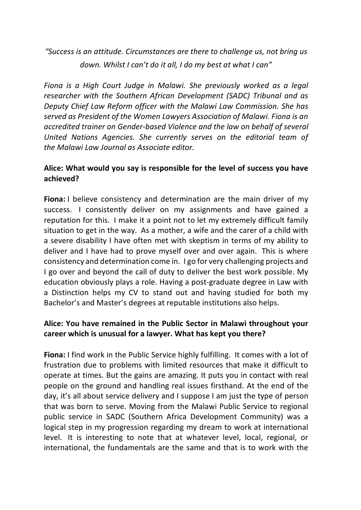*"Success is an attitude. Circumstances are there to challenge us, not bring us down. Whilst I can't do it all, I do my best at what I can"*

*Fiona is a High Court Judge in Malawi. She previously worked as a legal researcher with the Southern African Development (SADC) Tribunal and as Deputy Chief Law Reform officer with the Malawi Law Commission. She has served as President of the Women Lawyers Association of Malawi. Fiona is an accredited trainer on Gender-based Violence and the law on behalf of several United Nations Agencies. She currently serves on the editorial team of the Malawi Law Journal as Associate editor.*

#### **Alice: What would you say is responsible for the level of success you have achieved?**

**Fiona:** I believe consistency and determination are the main driver of my success. I consistently deliver on my assignments and have gained a reputation for this. I make it a point not to let my extremely difficult family situation to get in the way. As a mother, a wife and the carer of a child with a severe disability I have often met with skeptism in terms of my ability to deliver and I have had to prove myself over and over again. This is where consistency and determination come in. I go for very challenging projects and I go over and beyond the call of duty to deliver the best work possible. My education obviously plays a role. Having a post-graduate degree in Law with a Distinction helps my CV to stand out and having studied for both my Bachelor's and Master's degrees at reputable institutions also helps.

### **Alice: You have remained in the Public Sector in Malawi throughout your career which is unusual for a lawyer. What has kept you there?**

**Fiona:** I find work in the Public Service highly fulfilling. It comes with a lot of frustration due to problems with limited resources that make it difficult to operate at times. But the gains are amazing. It puts you in contact with real people on the ground and handling real issues firsthand. At the end of the day, it's all about service delivery and I suppose I am just the type of person that was born to serve. Moving from the Malawi Public Service to regional public service in SADC (Southern Africa Development Community) was a logical step in my progression regarding my dream to work at international level. It is interesting to note that at whatever level, local, regional, or international, the fundamentals are the same and that is to work with the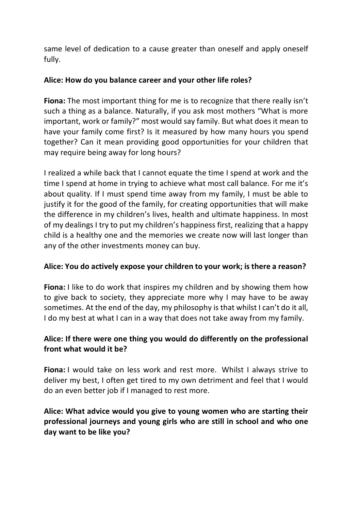same level of dedication to a cause greater than oneself and apply oneself fully.

#### **Alice: How do you balance career and your other life roles?**

**Fiona:** The most important thing for me is to recognize that there really isn't such a thing as a balance. Naturally, if you ask most mothers "What is more important, work or family?" most would say family. But what does it mean to have your family come first? Is it measured by how many hours you spend together? Can it mean providing good opportunities for your children that may require being away for long hours?

I realized a while back that I cannot equate the time I spend at work and the time I spend at home in trying to achieve what most call balance. For me it's about quality. If I must spend time away from my family, I must be able to justify it for the good of the family, for creating opportunities that will make the difference in my children's lives, health and ultimate happiness. In most of my dealings I try to put my children's happiness first, realizing that a happy child is a healthy one and the memories we create now will last longer than any of the other investments money can buy.

#### **Alice: You do actively expose your children to your work; is there a reason?**

**Fiona:** I like to do work that inspires my children and by showing them how to give back to society, they appreciate more why I may have to be away sometimes. At the end of the day, my philosophy is that whilst I can't do it all, I do my best at what I can in a way that does not take away from my family.

## **Alice: If there were one thing you would do differently on the professional front what would it be?**

**Fiona:** I would take on less work and rest more. Whilst I always strive to deliver my best, I often get tired to my own detriment and feel that I would do an even better job if I managed to rest more.

# **Alice: What advice would you give to young women who are starting their professional journeys and young girls who are still in school and who one day want to be like you?**